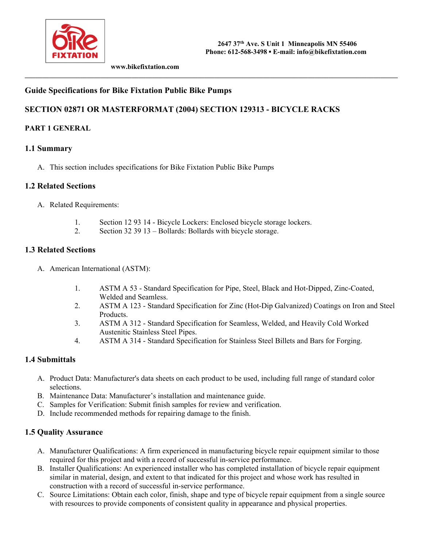

 **www.bikefixtation.com** 

### **Guide Specifications for Bike Fixtation Public Bike Pumps**

### **SECTION 02871 OR MASTERFORMAT (2004) SECTION 129313 - BICYCLE RACKS**

**\_\_\_\_\_\_\_\_\_\_\_\_\_\_\_\_\_\_\_\_\_\_\_\_\_\_\_\_\_\_\_\_\_\_\_\_\_\_\_\_\_\_\_\_\_\_\_\_\_\_\_\_\_\_\_\_\_\_\_\_\_\_\_\_\_\_\_\_\_\_\_\_\_\_\_\_\_\_\_\_\_\_\_\_\_\_\_\_\_\_\_\_\_\_\_\_\_\_\_\_\_\_\_\_\_\_\_\_** 

#### **PART 1 GENERAL**

#### **1.1 Summary**

A. This section includes specifications for Bike Fixtation Public Bike Pumps

#### **1.2 Related Sections**

- A. Related Requirements:
	- 1. Section 12 93 14 Bicycle Lockers: Enclosed bicycle storage lockers.
	- 2. Section 32 39 13 Bollards: Bollards with bicycle storage.

#### **1.3 Related Sections**

- A. American International (ASTM):
	- 1. ASTM A 53 Standard Specification for Pipe, Steel, Black and Hot-Dipped, Zinc-Coated, Welded and Seamless.
	- 2. ASTM A 123 Standard Specification for Zinc (Hot-Dip Galvanized) Coatings on Iron and Steel Products.
	- 3. ASTM A 312 Standard Specification for Seamless, Welded, and Heavily Cold Worked Austenitic Stainless Steel Pipes.
	- 4. ASTM A 314 Standard Specification for Stainless Steel Billets and Bars for Forging.

#### **1.4 Submittals**

- A. Product Data: Manufacturer's data sheets on each product to be used, including full range of standard color selections.
- B. Maintenance Data: Manufacturer's installation and maintenance guide.
- C. Samples for Verification: Submit finish samples for review and verification.
- D. Include recommended methods for repairing damage to the finish.

#### **1.5 Quality Assurance**

- A. Manufacturer Qualifications: A firm experienced in manufacturing bicycle repair equipment similar to those required for this project and with a record of successful in-service performance.
- B. Installer Qualifications: An experienced installer who has completed installation of bicycle repair equipment similar in material, design, and extent to that indicated for this project and whose work has resulted in construction with a record of successful in-service performance.
- C. Source Limitations: Obtain each color, finish, shape and type of bicycle repair equipment from a single source with resources to provide components of consistent quality in appearance and physical properties.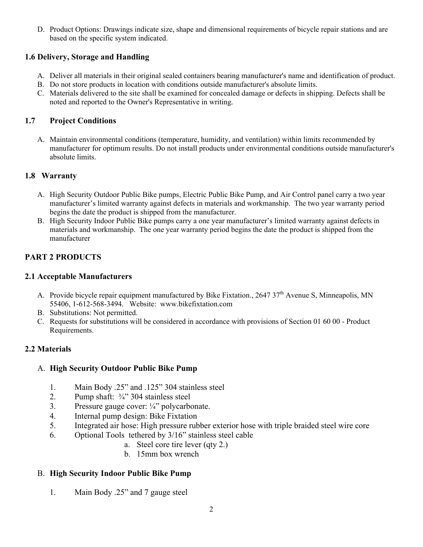D. Product Options: Drawings indicate size, shape and dimensional requirements of bicycle repair stations and are based on the specific system indicated.

# **1.6 Delivery, Storage and Handling**

- A. Deliver all materials in their original sealed containers bearing manufacturer's name and identification of product.
- B. Do not store products in location with conditions outside manufacturer's absolute limits.
- C. Materials delivered to the site shall be examined for concealed damage or defects in shipping. Defects shall be noted and reported to the Owner's Representative in writing.

## **1.7 Project Conditions**

A. Maintain environmental conditions (temperature, humidity, and ventilation) within limits recommended by manufacturer for optimum results. Do not install products under environmental conditions outside manufacturer's absolute limits.

## **1.8 Warranty**

- A. High Security Outdoor Public Bike pumps, Electric Public Bike Pump, and Air Control panel carry a two year manufacturer's limited warranty against defects in materials and workmanship. The two year warranty period begins the date the product is shipped from the manufacturer.
- B. High Security Indoor Public Bike pumps carry a one year manufacturer's limited warranty against defects in materials and workmanship. The one year warranty period begins the date the product is shipped from the manufacturer

# **PART 2 PRODUCTS**

## **2.1 Acceptable Manufacturers**

- A. Provide bicycle repair equipment manufactured by Bike Fixtation., 2647 37<sup>th</sup> Avenue S, Minneapolis, MN 55406, 1-612-568-3494. Website: www.bikefixtation.com
- B. Substitutions: Not permitted.
- C. Requests for substitutions will be considered in accordance with provisions of Section 01 60 00 Product Requirements.

# **2.2 Materials**

## A. **High Security Outdoor Public Bike Pump**

- 1. Main Body .25" and .125" 304 stainless steel
- 2. Pump shaft: ¾" 304 stainless steel
- 3. Pressure gauge cover: ¼" polycarbonate.
- 4. Internal pump design: Bike Fixtation
- 5. Integrated air hose: High pressure rubber exterior hose with triple braided steel wire core
- 6. Optional Tools tethered by 3/16" stainless steel cable
	- a. Steel core tire lever (qty 2.)
	- b. 15mm box wrench

# B. **High Security Indoor Public Bike Pump**

1. Main Body .25" and 7 gauge steel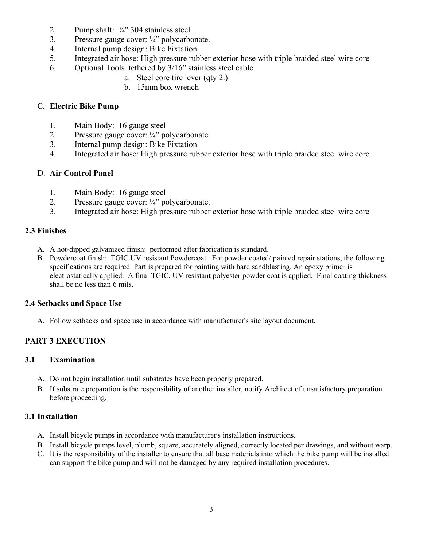- 2. Pump shaft:  $\frac{3}{4}$  304 stainless steel
- 3. Pressure gauge cover: ¼" polycarbonate.
- 4. Internal pump design: Bike Fixtation
- 5. Integrated air hose: High pressure rubber exterior hose with triple braided steel wire core
- 6. Optional Tools tethered by 3/16" stainless steel cable
	- a. Steel core tire lever (qty 2.)
	- b. 15mm box wrench

### C. **Electric Bike Pump**

- 1. Main Body: 16 gauge steel
- 2. Pressure gauge cover: ¼" polycarbonate.
- 3. Internal pump design: Bike Fixtation
- 4. Integrated air hose: High pressure rubber exterior hose with triple braided steel wire core

#### D. **Air Control Panel**

- 1. Main Body: 16 gauge steel
- 2. Pressure gauge cover: ¼" polycarbonate.
- 3. Integrated air hose: High pressure rubber exterior hose with triple braided steel wire core

#### **2.3 Finishes**

- A. A hot-dipped galvanized finish: performed after fabrication is standard.
- B. Powdercoat finish: TGIC UV resistant Powdercoat. For powder coated/ painted repair stations, the following specifications are required: Part is prepared for painting with hard sandblasting. An epoxy primer is electrostatically applied. A final TGIC, UV resistant polyester powder coat is applied. Final coating thickness shall be no less than 6 mils.

## **2.4 Setbacks and Space Use**

A. Follow setbacks and space use in accordance with manufacturer's site layout document.

# **PART 3 EXECUTION**

## **3.1 Examination**

- A. Do not begin installation until substrates have been properly prepared.
- B. If substrate preparation is the responsibility of another installer, notify Architect of unsatisfactory preparation before proceeding.

## **3.1 Installation**

- A. Install bicycle pumps in accordance with manufacturer's installation instructions.
- B. Install bicycle pumps level, plumb, square, accurately aligned, correctly located per drawings, and without warp.
- C. It is the responsibility of the installer to ensure that all base materials into which the bike pump will be installed can support the bike pump and will not be damaged by any required installation procedures.